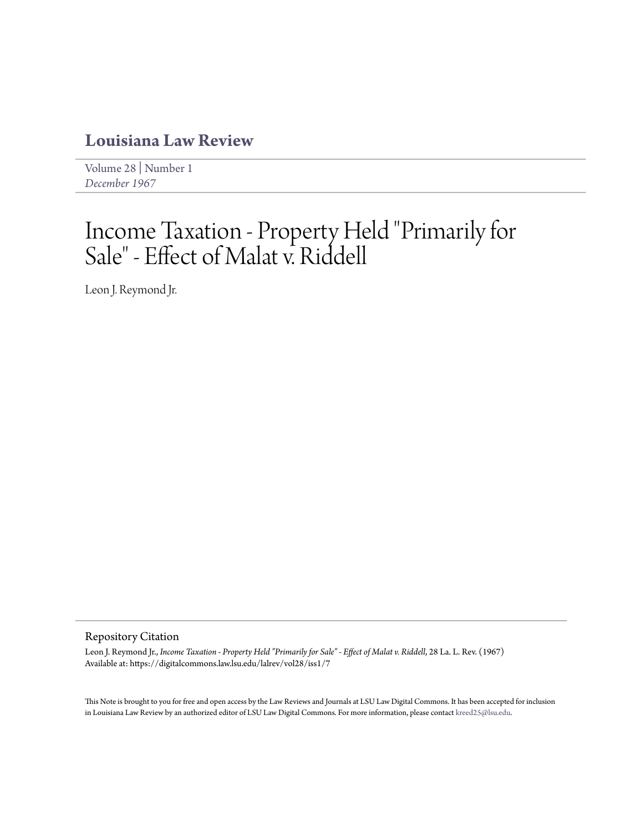# **[Louisiana Law Review](https://digitalcommons.law.lsu.edu/lalrev)**

[Volume 28](https://digitalcommons.law.lsu.edu/lalrev/vol28) | [Number 1](https://digitalcommons.law.lsu.edu/lalrev/vol28/iss1) *[December 1967](https://digitalcommons.law.lsu.edu/lalrev/vol28/iss1)*

# Income Taxation - Property Held "Primarily for Sale" - Effect of Malat v. Riddell

Leon J. Reymond Jr.

#### Repository Citation

Leon J. Reymond Jr., *Income Taxation - Property Held "Primarily for Sale" - Effect of Malat v. Riddell*, 28 La. L. Rev. (1967) Available at: https://digitalcommons.law.lsu.edu/lalrev/vol28/iss1/7

This Note is brought to you for free and open access by the Law Reviews and Journals at LSU Law Digital Commons. It has been accepted for inclusion in Louisiana Law Review by an authorized editor of LSU Law Digital Commons. For more information, please contact [kreed25@lsu.edu](mailto:kreed25@lsu.edu).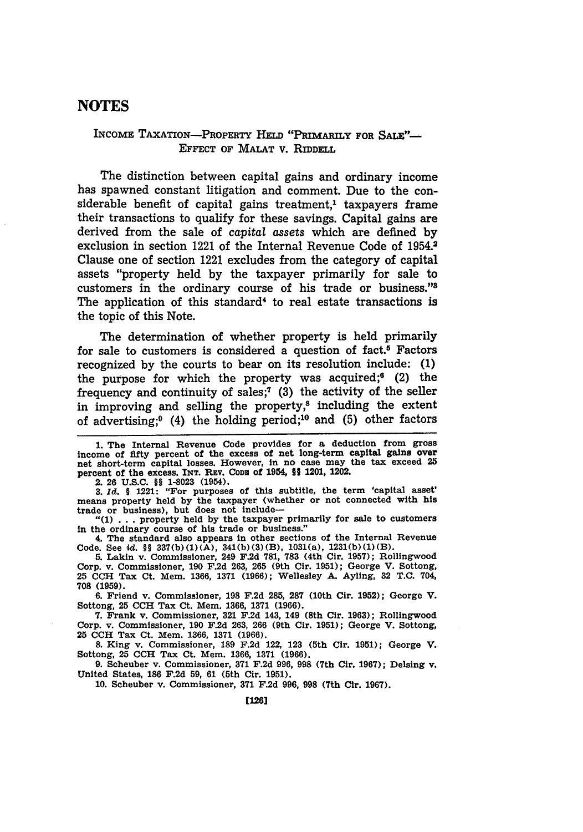## **NOTES**

#### INCOME TAXATION-PROPERTY **HELD** "PRIMARILY *FOR* **SALE"- EFFECT** OF MALAT v. RIDDELL

The distinction between capital gains and ordinary income has spawned constant litigation and comment. Due to the considerable benefit of capital gains treatment,<sup>1</sup> taxpayers frame their transactions to qualify for these savings. Capital gains are derived from the sale of capital assets which are defined **by** exclusion in section 1221 of the Internal Revenue Code of 1954.<sup>2</sup> Clause one of section 1221 excludes from the category of capital assets "property held **by** the taxpayer primarily for sale to customers in the ordinary course of his trade or business."8 The application of this standard<sup>4</sup> to real estate transactions is the topic of this Note.

The determination of whether property is held primarily for sale to customers is considered a question of fact.<sup>5</sup> Factors recognized **by** the courts to bear on its resolution include: **(1)** the purpose for which the property was acquired; $6$  (2) the frequency and continuity of sales;7 **(3)** the activity of the seller in improving and selling the property, $s$  including the extent of advertising;9 (4) the holding period;10 and **(5)** other factors

2. 26 **U.S.C. §9** 1-8023 (1954). **3.** *Id.* § 1221: "For purposes of this subtitle, the term 'capital asset' means property held **by** the taxpayer (whether or not connected with his trade or business), but does not include-

**"(1) ...** property held **by** the taxpayer primarily for sale to customers in the ordinary course of his trade or business."

4. The standard also appears in other sections of the Internal Revenue Code. See **4d.** §§ **337(b)(1)(A),** 341(b)(3)(B), 1031(a), **1231(b)(1)(B). 5.** Lakin v. Commissioner, 249 **F.2d 781, 783** (4th Cir. **1957);** Rollingwood

Corp. v. Commissioner, **190 F.2d 263, 265** (9th Cir. **1951);** George V. Sottong, **25 CCH** Tax Ct. Mem. **1366, 1371 (1966);** Wellesley **A.** Ayling, **32 T.C.** 704, **708 (1959).**

**6.** Friend v. Commissioner, **198 F.2d 285, 287** (10th Cir. **1952);** George V. Sottong, **25 CCH** Tax Ct. Mem. **1366, 1371 (1966).**

**7.** Frank v. Commissioner, **321 F.2d** 143, 149 (8th Cir. **1963);** Rollingwood Corp. v. Commissioner, **190 F.2d 263, 266** (9th Cir. **1951);** George V. Sottong, **25 CCH** Tax Ct. Mem. **1366, 1371 (1966).**

**8.** King v. Commissioner, **189 F.2d** 122, **123** (5th Cir. **1951);** George V. Sottong, **25 CCH** Tax Ct. Mem. **1366, 1371 (1966).**

**9.** Scheuber v. Commissioner, **371 F.2d 996, 998** (7th Cir. **1967);** Delsing v. United States, **186 F.2d 59, 61** (5th Cir. **1951).**

**10.** Scheuber v. Commissioner, **371 F.2d 996, 998** (7th **Cir. 1967).**

**<sup>1.</sup>** The Internal Revenue Code provides for a deduction from gross income of **fifty** percent of the excess of net long-term capital gains over net short-term capital losses. However, in no case may the tax exceed **25** percent of the excess. **INT.** RaV. **CODE** of 1954, **H§** 1201, 1202.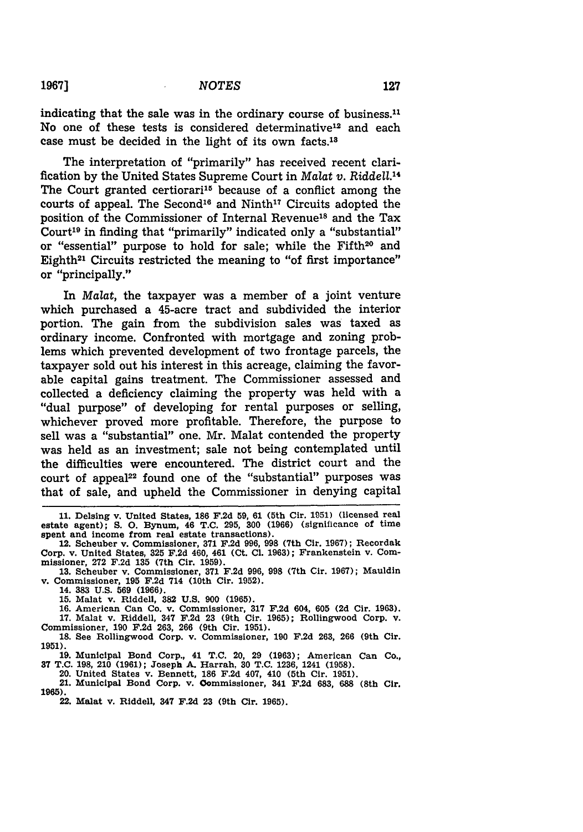$\overline{\phantom{a}}$ 

indicating that the sale was in the ordinary course of business.<sup>11</sup> No one of these tests is considered determinative<sup>12</sup> and each case must be decided in the light of its own facts.18

The interpretation of "primarily" has received recent clarification by the United States Supreme Court in *Malat v. Riddell.14* The Court granted certiorari<sup>15</sup> because of a conflict among the courts of appeal. The Second<sup>16</sup> and Ninth<sup>17</sup> Circuits adopted the position of the Commissioner of Internal Revenue<sup>18</sup> and the Tax Court<sup>19</sup> in finding that "primarily" indicated only a "substantial" or "essential" purpose to hold for sale; while the Fifth<sup>20</sup> and Eighth<sup>21</sup> Circuits restricted the meaning to "of first importance" or "principally."

In *Malat,* the taxpayer was a member of a joint venture which purchased a 45-acre tract and subdivided the interior portion. The gain from the subdivision sales was taxed as ordinary income. Confronted with mortgage and zoning problems which prevented development of two frontage parcels, the taxpayer sold out his interest in this acreage, claiming the favorable capital gains treatment. The Commissioner assessed and collected a deficiency claiming the property was held with a "dual purpose" of developing for rental purposes or selling, whichever proved more profitable. Therefore, the purpose to sell was a "substantial" one. Mr. Malat contended the property was held as an investment; sale not being contemplated until the difficulties were encountered. The district court and the court of appeal<sup>22</sup> found one of the "substantial" purposes was that of sale, and upheld the Commissioner in denying capital

20. United States v. Bennett, **186 F.2d** 407, 410 (5th Cir. **1951).**

21. Municipal Bond Corp. v. Qommissioner, 341 **F.2d 683, 688** (8th Cir. **1965).**

**<sup>11.</sup>** Delsing v. United States, **186 F.2d 59, 61** (5th Cir. **1951)** (licensed real estate agent); **S. 0.** Bynum, 46 **T.C. 295, 300 (1966)** (significance of time spent and income from real estate transactions).

<sup>12.</sup> Scheuber v. Commissioner, **371 F.2d 996, 998** (7th Cir. **1967);** Recordak Corp. v. United States, 325 **F.2d** 460, 461 (Ct. **Cl. 1963);** Frankenstein v. Commissioner, **272 F.2d 135** (7th Cir. **1959).**

**<sup>13.</sup>** Scheuber v. Commissioner, 371 **F.2d 996, 998** (7th Cir. **1967);** Mauldin v. Commissioner, **195 F.2d** 714 (10th Cir. **1952).**

<sup>14.</sup> **383 U.S. 569 (1966).**

**<sup>15.</sup>** Malat v. Riddell, **382 U.S. 900 (1965).**

**<sup>16.</sup>** American Can Co. v. Commissioner, **317 F.2d** 604, **605 (2d** Cir. **1963). 17.** Malat v. Riddell, 347 **F.2d 23** (9th Cir. **1965);** Rollingwood Corp. v.

Commissioner, **190 F.2d 263, 266** (9th Cir. **1951). 18.** See Rollingwood Corp. v. Commissioner, **190 F.2d** 263, **266** (9th Cir. **1951).**

**<sup>19.</sup>** Municipal Bond Corp., 41 **T.C.** 20, **29 (1963);** American Can Co., **37 T.C. 198,** 210 **(1961);** Joseph **A.** Harrah, **30 T.C. 1236,** 1241 **(1958).**

<sup>22.</sup> Malat v. Riddell, 347 **F.2d 23** (9th Cir. **1965).**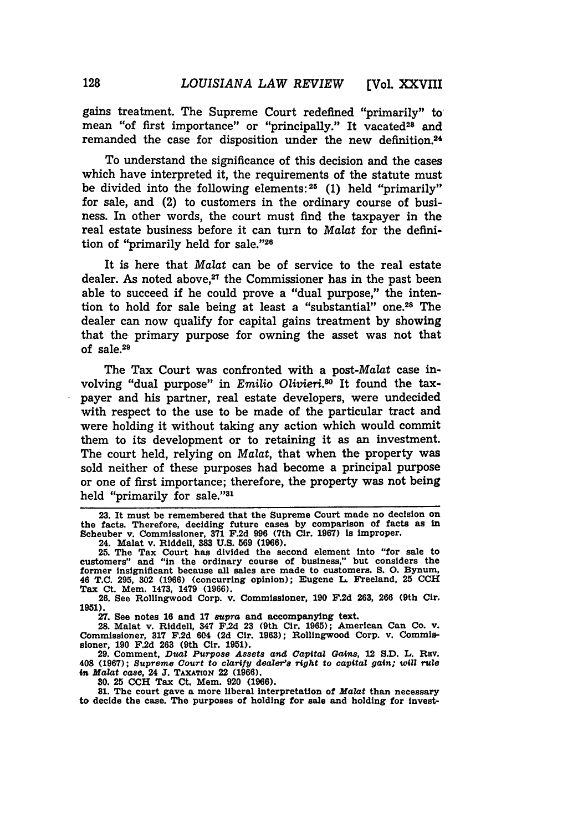gains treatment. The Supreme Court redefined "primarily" to, mean "of first importance" or "principally." It vacated<sup>23</sup> and remanded the case for disposition under the new definition.24

To understand the significance of this decision and the cases which have interpreted it, the requirements of the statute must be divided into the following elements: <sup>25</sup>**(1)** held "primarily" for sale, and (2) to customers in the ordinary course of business. In other words, the court must find the taxpayer in the real estate business before it can turn to *Malat* for the definition of "primarily held for sale."<sup>26</sup>

It is here that *Malat* can be of service to the real estate dealer. As noted above,<sup>27</sup> the Commissioner has in the past been able to succeed if he could prove a "dual purpose," the intention to hold for sale being at least a "substantial" one.<sup>28</sup> The dealer can now qualify for capital gains treatment **by** showing that the primary purpose for owning the asset was not that of **sale.<sup>29</sup>**

The Tax Court was confronted with a post-Malat case involving "dual purpose" in *Emilio Olivieri.80* It found the taxpayer and his partner, real estate developers, were undecided with respect to the use to be made of the particular tract and were holding it without taking any action which would commit them to its development or to retaining it as an investment. The court held, relying on *Malat,* that when the property was sold neither of these purposes had become a principal purpose or one of first importance; therefore, the property was not being held "primarily for sale."<sup>31</sup>

**23.** It must be remembered that the Supreme Court made no decision on the facts. Therefore, deciding future cases **by** comparison of facts as In Scheuber v. Commissioner, **371 F.2d 996** (7th Cir. **1967) is** improper.

24. Malat v. Riddell, **383 U.S. 569 (1966).**

25. The Tax Court has divided the second element into "for sale to customers" and "in the ordinary course of business," but considers the former insignificant because all sales are made to customers. S. O. Bynum, 46 **T.C. 295,** 302 **(1966)** (concurring opinion); Eugene **L.** Freeland, **25 CCH Tax** Ct. Mem. 1473, 1479 **(1966). 26.** See Rollingwood Corp. v. Commissioner, **190 F.2d 263, 266** (9th Cir.

**1951).**

**27.** See notes **16** and **17** *supra* and accompanying text.

**28.** Malat v. Riddell, 347 **F.2d 23 (9th Cir. 1965); American Can Co. v. Commissioner, 317 F.2d 604 (2d Cir. 1963); Rollingwood Corp. v. Commis-**Commissioner, 317 F.2d 604 (2d Cir. 1963); Rollingwood Corp. v. Commissioner, 190 F.2d 263 (9th Cir. 1951).

**29. Comment,** *Dual Purpose Assets and Capttal Gains,* **12 S.D. L. REV. 408 (1967);** *Supreme Court* **to** *clarify dealer's right* **to** *capital gain; will rule* **in** *Malat case,* **24 J.** TAXATION 22 **(1966).**

**30. 25 CCH Tax Ct. Mem. 920 (1966).**

**31. The court gave** a more liberal interpretation of *Malat* **than necessary** to decide the case. The purposes of holding for sale and **holding for invest-**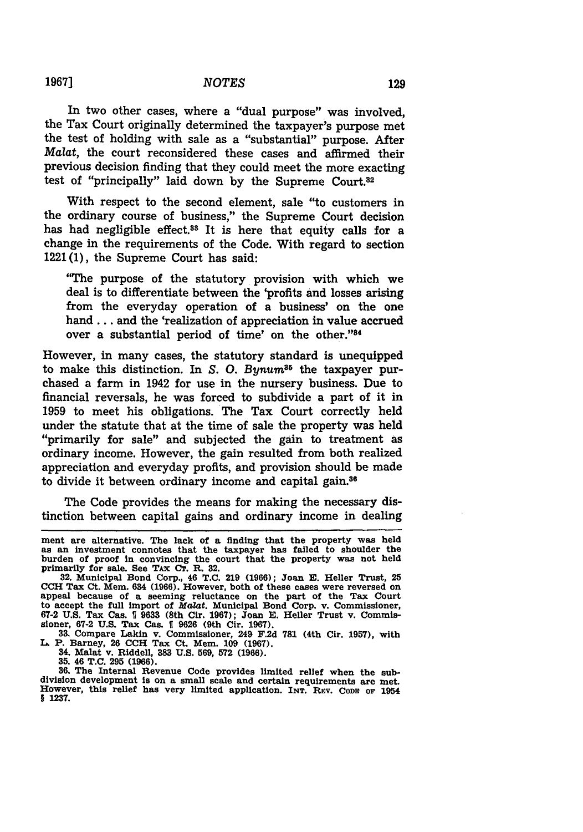In two other cases, where a "dual purpose" was involved, the Tax Court originally determined the taxpayer's purpose met the test of holding with sale as a "substantial" purpose. After Malat, the court reconsidered these cases and affirmed their previous decision finding that they could meet the more exacting test of "principally" laid down **by** the Supreme **Court.<sup>8</sup> <sup>2</sup>**

With respect to the second element, sale "to customers in the ordinary course of business," the Supreme Court decision has had negligible effect.<sup>33</sup> It is here that equity calls for a change in the requirements of the Code. With regard to section 1221 **(1),** the Supreme Court has said:

"The purpose of the statutory provision with which we deal is to differentiate between the 'profits and losses arising from the everyday operation of a business' on the one **hand..,** and the 'realization of appreciation in value accrued over a substantial period of time' on the other."84

However, in many cases, the statutory standard is unequipped to make this distinction. In *S. O. Bynum*<sup>35</sup> the taxpayer purchased a farm in 1942 for use in the nursery business. Due to financial reversals, he was forced to subdivide a part of it in **1959** to meet his obligations. The Tax Court correctly held under the statute that at the time of sale the property was held "primarily for sale" and subjected the gain to treatment as ordinary income. However, the gain resulted from both realized appreciation and everyday profits, and provision should be made to divide it between ordinary income and capital gain.<sup>36</sup>

The Code provides the means for making the necessary distinction between capital gains and ordinary income in dealing

**33.** Compare Lakin v. Commissioner, 249 **F.2d 781** (4th Cir. **1957),** with **L.** P. Barney, **26 CCH** Tax Ct. Mem. **109 (1967).**

34. Malat v. Riddell, **383 U.S. 569, 572 (1966). 35.** 46 **T.C. 295 (1966).**

**36.** The Internal Revenue Code provides limited relief when the subdivision development is on a small scale and certain requirements are met. However, this relief has very limited application. INT. REV. CODE OF 1954 § **1237.**

**19671**

ment are alternative. The lack of a finding that the property was held as an investment connotes that the taxpayer has failed to shoulder the burden of proof in convincing the court that the property was not held primarily for sale. See TAx **CT.** R. **32.**

**<sup>32.</sup>** Municipal Bond Corp., 46 **T.C. 219 (1966);** Joan **E.** Heller Trust, 25 **CCH** Tax Ct. Mem. 634 **(1966).** However, both of these cases were reversed on appeal because of a seeming reluctance on the part of the Tax Court to accept the full Import of Malat. Municipal Bond Corp. v. Commissioner, **67-2 U.S.** Tax Cas. **9 9633** (8th Cir. **1967);** Joan **E.** Heller Trust v. Commissioner, **67-2 U.S.** Tax Cas. 1 **9626** (9th Cir. **1967).**